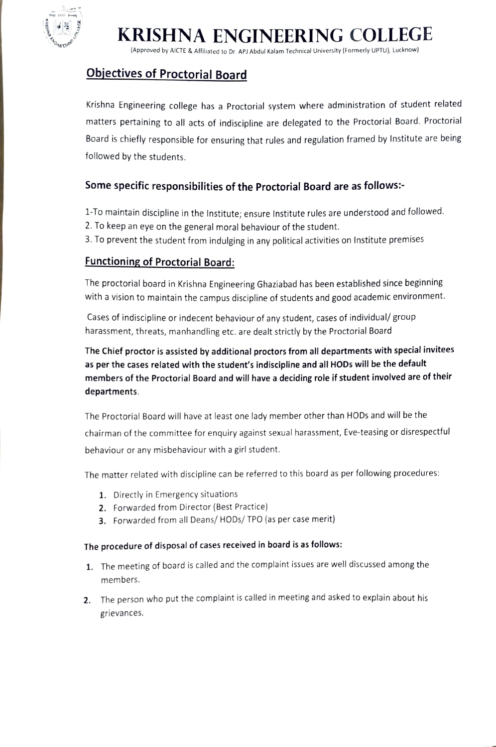

# KRISHNA ENGINEERING COLLEGE

(Approved by AICTE & Affiliated to Dr. APJ Abdul Kalam Technical University (Formerly UPTU), Lucknow)

### Objectives of Proctorial Board

Krishna Engineering college has a Proctorial system where administration of student related matters pertaining to all acts of indiscipline are delegated to the Proctorial Board. Proctorial Board is chiefly responsible for ensuring that rules and regulation framed by Institute are being followed by the students.

### Some specific responsibilities of the Proctorial Board are as follows:

- 1-To maintain discipline in the Institute; ensure Institute rules are understood and followed.
- 2. To keep an eye on the general moral behaviour of the student.
- 3. To prevent the student from indulging in any political activities on Institute premises

### Functioning of Proctorial Board:

The proctorial board in Krishna Engineering Ghaziabad has been established since beginning with a vision to maintain the campus discipline of students and good academic environment.

Cases of indiscipline or indecent behaviour of any student, cases of individual/ group harassment, threats, manhandling etc. are dealt strictly by the Proctorial Board

The Chief proctor is assisted by additional proctors from all departments with special invitees as per the cases related with the student's indiscipline and all HODs will be the default members of the Proctorial Board and will have a deciding role if student involved are of their departments.

The Proctorial Board will have at least one lady member other than HODs and will be the chairman of the committee for enquiry against sexual harassment, Eve-teasing or disrespectful behaviour or any misbehaviour with a girl student.

The matter related with discipline can be referred to this board as per following procedures:

- 1. Directly in Emergency situations
- 2. Forwarded from Director (Best Practice)
- 3. Forwarded from all Deans/ HODs/ TPO (as per case merit)

#### The procedure of disposal of cases received in board is as follows:

- 1. The meeting of board is called and the complaint issues are well discussed among the members.
- 2. The person who put the complaint is called in meeting and asked to explain about his grievances.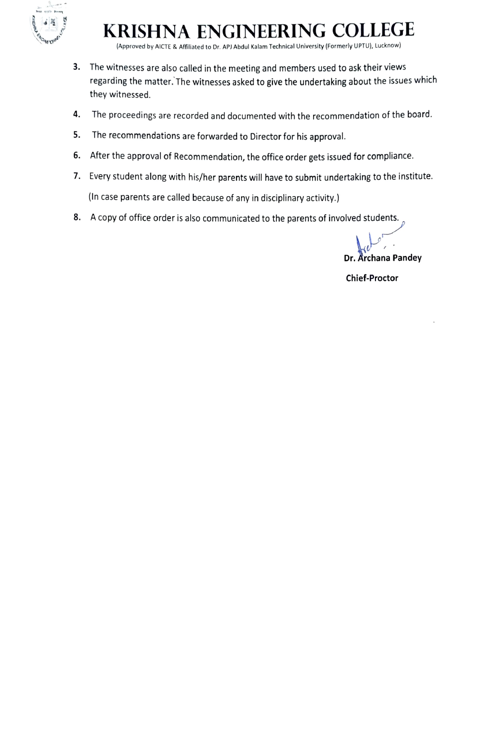

# KRISHNA ENGINEERING COLLEGGE

Aproved by AICTE & Afliated to Dr. AP) Abdul Kalam Technical University (Formerly UPTU), Lucknow)

- 3. The witnesses are also called in the meeting and members used to ask their views regarding the matter. The witnesses asked to give the undertaking about the issues which they witnessed.
- 4. The proceedings are recorded and documented with the recommendation of the board.
- 5. The recommendations are forwarded to Director for his approval.
- 6. After the approval of Recommendation, the office order gets issued for compliance.
- 7. Every student along with his/her parents will have to submit undertaking to the institute. (In case parents are called because of any in disciplinary activity.)
- 8. A copy of office order is also communicated to the parents of involved students.

Dr. Archana Pandey

Chief-Proctor